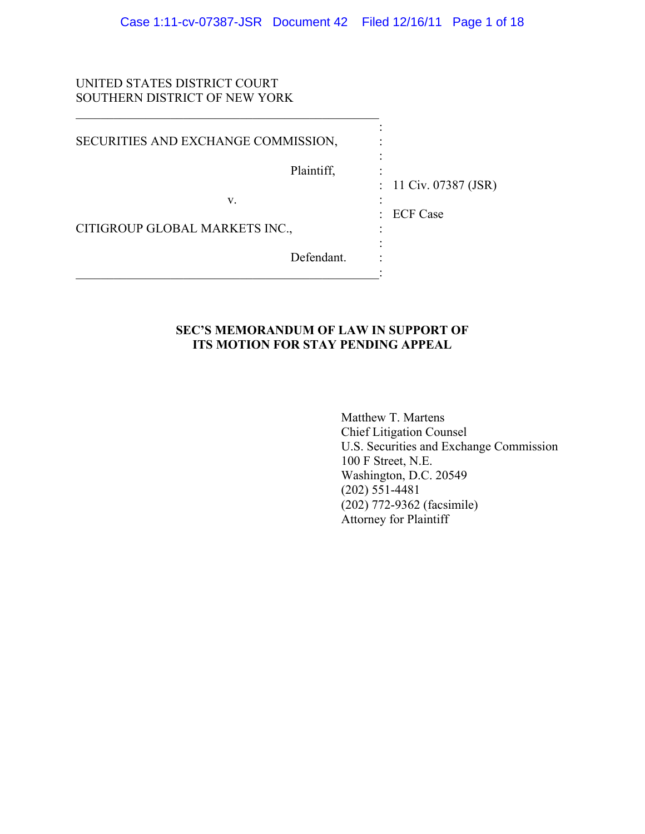# UNITED STATES DISTRICT COURT SOUTHERN DISTRICT OF NEW YORK

| SECURITIES AND EXCHANGE COMMISSION, |                                          |
|-------------------------------------|------------------------------------------|
| Plaintiff,                          |                                          |
| V.                                  | : $11 \text{ Civ. } 07387 \text{ (JSR)}$ |
| CITIGROUP GLOBAL MARKETS INC.,      | : ECF Case                               |
| Defendant.                          |                                          |
|                                     |                                          |

# **SEC'S MEMORANDUM OF LAW IN SUPPORT OF ITS MOTION FOR STAY PENDING APPEAL**

 Matthew T. Martens Chief Litigation Counsel U.S. Securities and Exchange Commission 100 F Street, N.E. Washington, D.C. 20549 (202) 551-4481 (202) 772-9362 (facsimile) Attorney for Plaintiff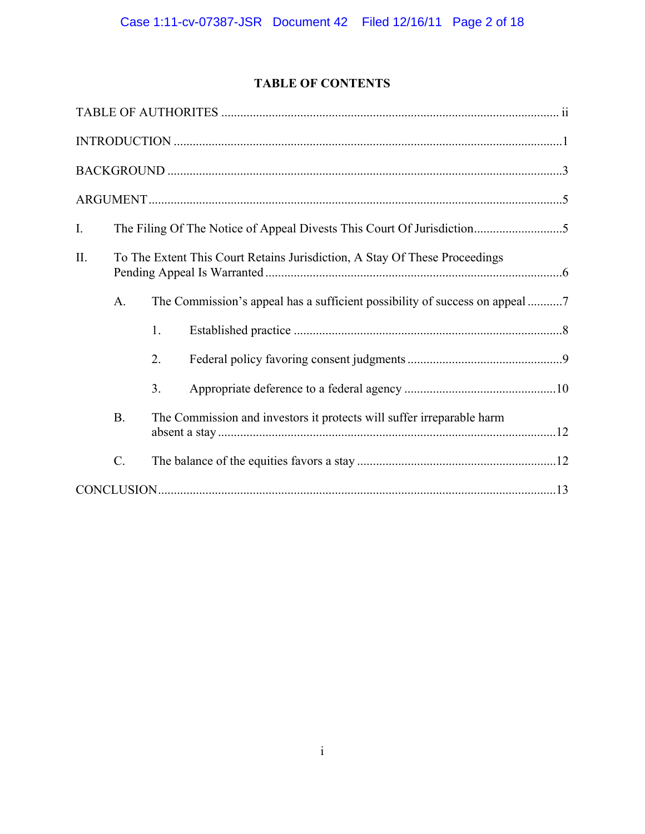# **TABLE OF CONTENTS**

| $I_{\cdot}$ |                 |    |                                                                            |  |
|-------------|-----------------|----|----------------------------------------------------------------------------|--|
| $\prod$ .   |                 |    | To The Extent This Court Retains Jurisdiction, A Stay Of These Proceedings |  |
|             | A.              |    |                                                                            |  |
|             |                 | 1. |                                                                            |  |
|             |                 | 2. |                                                                            |  |
|             |                 | 3. |                                                                            |  |
|             | B.              |    | The Commission and investors it protects will suffer irreparable harm      |  |
|             | $\mathcal{C}$ . |    |                                                                            |  |
|             |                 |    |                                                                            |  |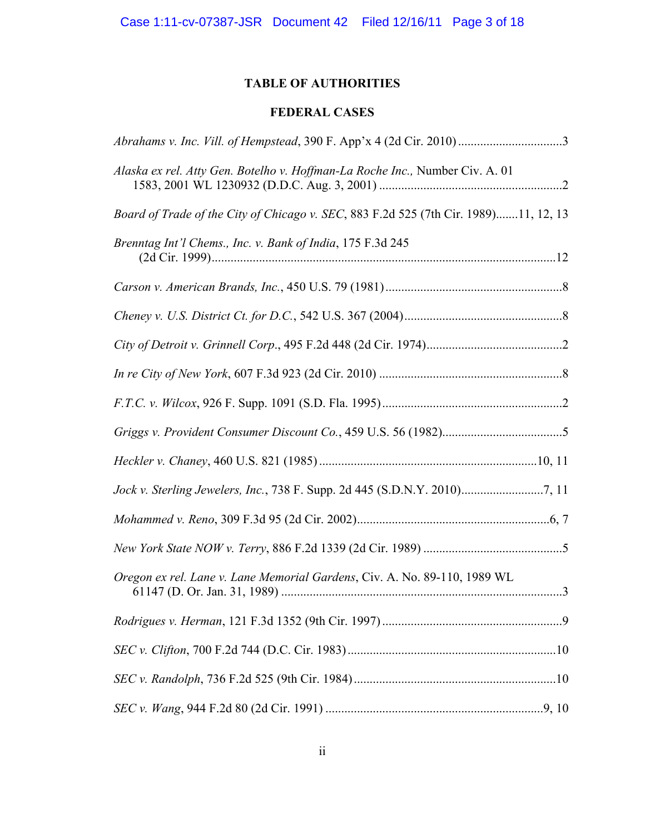# **TABLE OF AUTHORITIES**

# **FEDERAL CASES**

| Alaska ex rel. Atty Gen. Botelho v. Hoffman-La Roche Inc., Number Civ. A. 01         |  |
|--------------------------------------------------------------------------------------|--|
| Board of Trade of the City of Chicago v. SEC, 883 F.2d 525 (7th Cir. 1989)11, 12, 13 |  |
| Brenntag Int'l Chems., Inc. v. Bank of India, 175 F.3d 245                           |  |
|                                                                                      |  |
|                                                                                      |  |
|                                                                                      |  |
|                                                                                      |  |
|                                                                                      |  |
|                                                                                      |  |
|                                                                                      |  |
|                                                                                      |  |
|                                                                                      |  |
|                                                                                      |  |
| Oregon ex rel. Lane v. Lane Memorial Gardens, Civ. A. No. 89-110, 1989 WL            |  |
|                                                                                      |  |
|                                                                                      |  |
|                                                                                      |  |
|                                                                                      |  |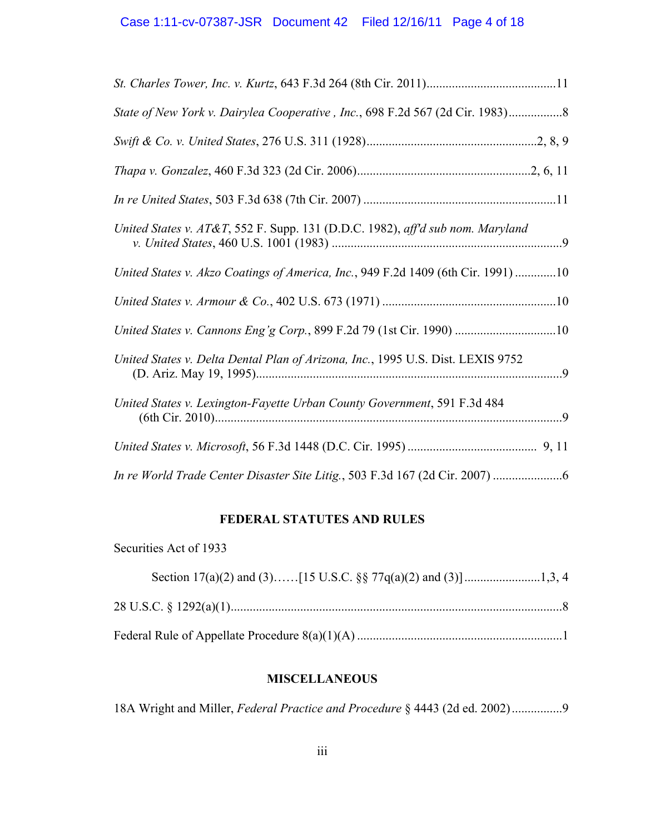| State of New York v. Dairylea Cooperative, Inc., 698 F.2d 567 (2d Cir. 1983)      |  |
|-----------------------------------------------------------------------------------|--|
|                                                                                   |  |
|                                                                                   |  |
|                                                                                   |  |
| United States v. AT&T, 552 F. Supp. 131 (D.D.C. 1982), aff'd sub nom. Maryland    |  |
| United States v. Akzo Coatings of America, Inc., 949 F.2d 1409 (6th Cir. 1991) 10 |  |
|                                                                                   |  |
| United States v. Cannons Eng'g Corp., 899 F.2d 79 (1st Cir. 1990) 10              |  |
| United States v. Delta Dental Plan of Arizona, Inc., 1995 U.S. Dist. LEXIS 9752   |  |
| United States v. Lexington-Fayette Urban County Government, 591 F.3d 484          |  |
|                                                                                   |  |
|                                                                                   |  |

# **FEDERAL STATUTES AND RULES**

Securities Act of 1933

# **MISCELLANEOUS**

18A Wright and Miller, *Federal Practice and Procedure* § 4443 (2d ed. 2002) ................9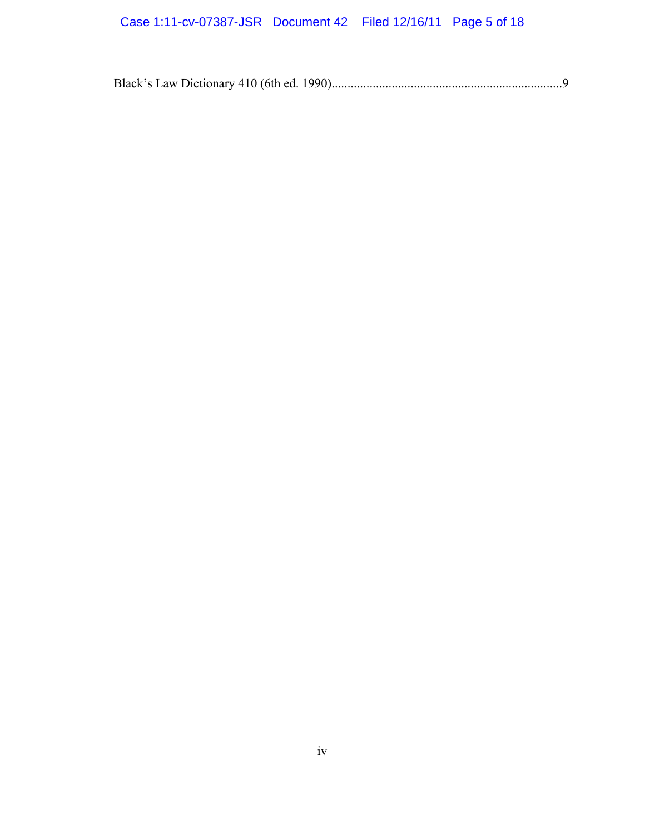# Case 1:11-cv-07387-JSR Document 42 Filed 12/16/11 Page 5 of 18

Black's Law Dictionary 410 (6th ed. 1990) .........................................................................9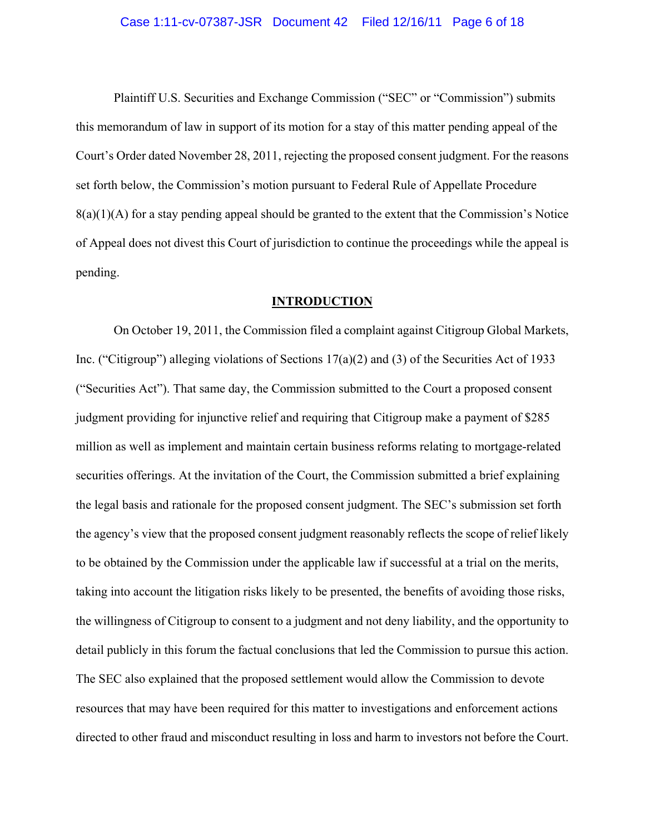Plaintiff U.S. Securities and Exchange Commission ("SEC" or "Commission") submits this memorandum of law in support of its motion for a stay of this matter pending appeal of the Court's Order dated November 28, 2011, rejecting the proposed consent judgment. For the reasons set forth below, the Commission's motion pursuant to Federal Rule of Appellate Procedure  $8(a)(1)(A)$  for a stay pending appeal should be granted to the extent that the Commission's Notice of Appeal does not divest this Court of jurisdiction to continue the proceedings while the appeal is pending.

## **INTRODUCTION**

On October 19, 2011, the Commission filed a complaint against Citigroup Global Markets, Inc. ("Citigroup") alleging violations of Sections 17(a)(2) and (3) of the Securities Act of 1933 ("Securities Act"). That same day, the Commission submitted to the Court a proposed consent judgment providing for injunctive relief and requiring that Citigroup make a payment of \$285 million as well as implement and maintain certain business reforms relating to mortgage-related securities offerings. At the invitation of the Court, the Commission submitted a brief explaining the legal basis and rationale for the proposed consent judgment. The SEC's submission set forth the agency's view that the proposed consent judgment reasonably reflects the scope of relief likely to be obtained by the Commission under the applicable law if successful at a trial on the merits, taking into account the litigation risks likely to be presented, the benefits of avoiding those risks, the willingness of Citigroup to consent to a judgment and not deny liability, and the opportunity to detail publicly in this forum the factual conclusions that led the Commission to pursue this action. The SEC also explained that the proposed settlement would allow the Commission to devote resources that may have been required for this matter to investigations and enforcement actions directed to other fraud and misconduct resulting in loss and harm to investors not before the Court.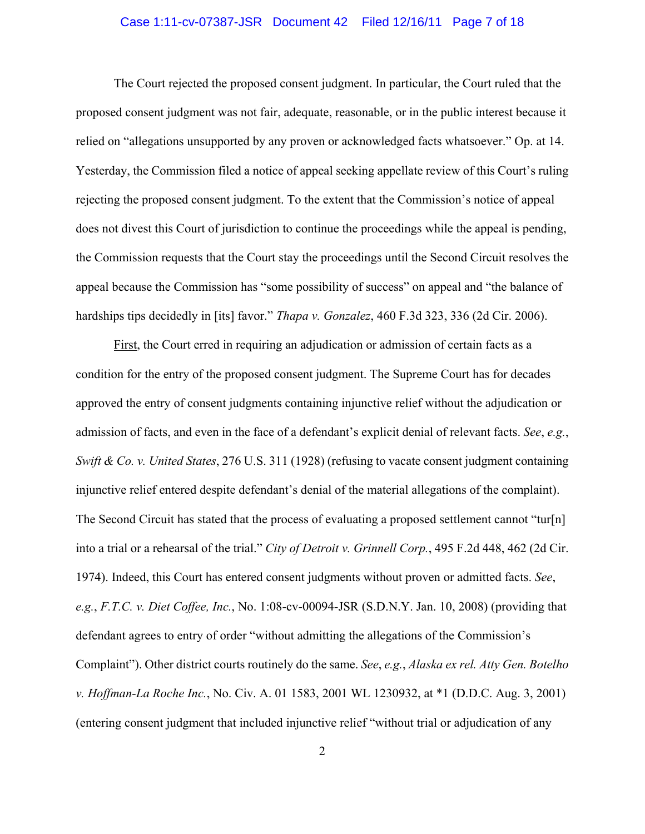# Case 1:11-cv-07387-JSR Document 42 Filed 12/16/11 Page 7 of 18

The Court rejected the proposed consent judgment. In particular, the Court ruled that the proposed consent judgment was not fair, adequate, reasonable, or in the public interest because it relied on "allegations unsupported by any proven or acknowledged facts whatsoever." Op. at 14. Yesterday, the Commission filed a notice of appeal seeking appellate review of this Court's ruling rejecting the proposed consent judgment. To the extent that the Commission's notice of appeal does not divest this Court of jurisdiction to continue the proceedings while the appeal is pending, the Commission requests that the Court stay the proceedings until the Second Circuit resolves the appeal because the Commission has "some possibility of success" on appeal and "the balance of hardships tips decidedly in [its] favor." *Thapa v. Gonzalez*, 460 F.3d 323, 336 (2d Cir. 2006).

First, the Court erred in requiring an adjudication or admission of certain facts as a condition for the entry of the proposed consent judgment. The Supreme Court has for decades approved the entry of consent judgments containing injunctive relief without the adjudication or admission of facts, and even in the face of a defendant's explicit denial of relevant facts. *See*, *e.g.*, *Swift & Co. v. United States*, 276 U.S. 311 (1928) (refusing to vacate consent judgment containing injunctive relief entered despite defendant's denial of the material allegations of the complaint). The Second Circuit has stated that the process of evaluating a proposed settlement cannot "tur[n] into a trial or a rehearsal of the trial." *City of Detroit v. Grinnell Corp.*, 495 F.2d 448, 462 (2d Cir. 1974). Indeed, this Court has entered consent judgments without proven or admitted facts. *See*, *e.g.*, *F.T.C. v. Diet Coffee, Inc.*, No. 1:08-cv-00094-JSR (S.D.N.Y. Jan. 10, 2008) (providing that defendant agrees to entry of order "without admitting the allegations of the Commission's Complaint"). Other district courts routinely do the same. *See*, *e.g.*, *Alaska ex rel. Atty Gen. Botelho v. Hoffman-La Roche Inc.*, No. Civ. A. 01 1583, 2001 WL 1230932, at \*1 (D.D.C. Aug. 3, 2001) (entering consent judgment that included injunctive relief "without trial or adjudication of any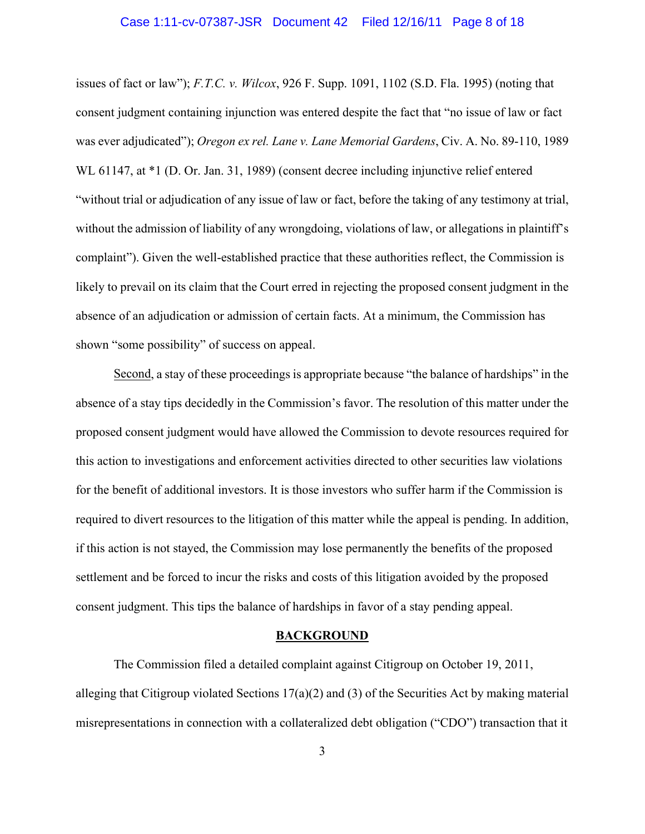## Case 1:11-cv-07387-JSR Document 42 Filed 12/16/11 Page 8 of 18

issues of fact or law"); *F.T.C. v. Wilcox*, 926 F. Supp. 1091, 1102 (S.D. Fla. 1995) (noting that consent judgment containing injunction was entered despite the fact that "no issue of law or fact was ever adjudicated"); *Oregon ex rel. Lane v. Lane Memorial Gardens*, Civ. A. No. 89-110, 1989 WL 61147, at  $*1$  (D. Or. Jan. 31, 1989) (consent decree including injunctive relief entered "without trial or adjudication of any issue of law or fact, before the taking of any testimony at trial, without the admission of liability of any wrongdoing, violations of law, or allegations in plaintiff's complaint"). Given the well-established practice that these authorities reflect, the Commission is likely to prevail on its claim that the Court erred in rejecting the proposed consent judgment in the absence of an adjudication or admission of certain facts. At a minimum, the Commission has shown "some possibility" of success on appeal.

Second, a stay of these proceedings is appropriate because "the balance of hardships" in the absence of a stay tips decidedly in the Commission's favor. The resolution of this matter under the proposed consent judgment would have allowed the Commission to devote resources required for this action to investigations and enforcement activities directed to other securities law violations for the benefit of additional investors. It is those investors who suffer harm if the Commission is required to divert resources to the litigation of this matter while the appeal is pending. In addition, if this action is not stayed, the Commission may lose permanently the benefits of the proposed settlement and be forced to incur the risks and costs of this litigation avoided by the proposed consent judgment. This tips the balance of hardships in favor of a stay pending appeal.

#### **BACKGROUND**

The Commission filed a detailed complaint against Citigroup on October 19, 2011, alleging that Citigroup violated Sections 17(a)(2) and (3) of the Securities Act by making material misrepresentations in connection with a collateralized debt obligation ("CDO") transaction that it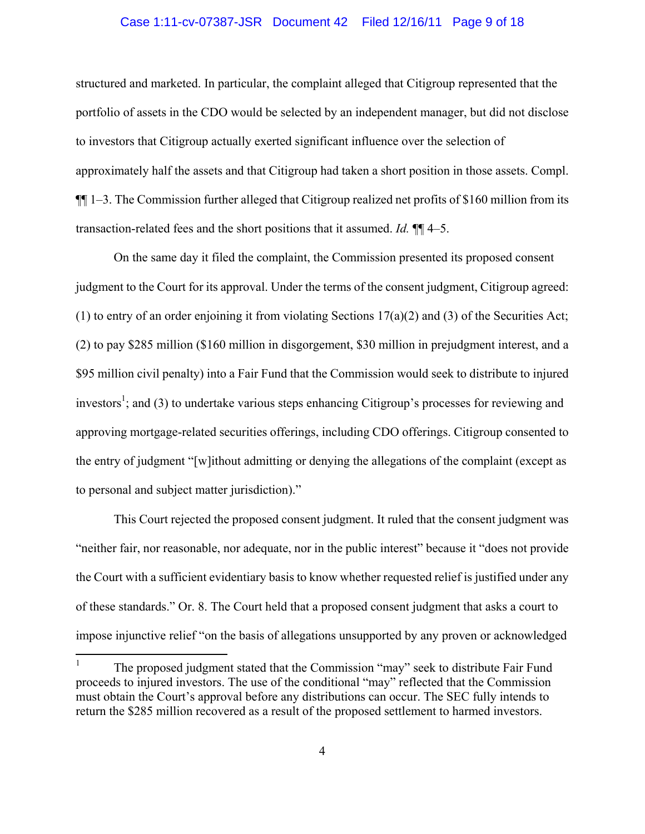# Case 1:11-cv-07387-JSR Document 42 Filed 12/16/11 Page 9 of 18

structured and marketed. In particular, the complaint alleged that Citigroup represented that the portfolio of assets in the CDO would be selected by an independent manager, but did not disclose to investors that Citigroup actually exerted significant influence over the selection of approximately half the assets and that Citigroup had taken a short position in those assets. Compl. ¶¶ 1–3. The Commission further alleged that Citigroup realized net profits of \$160 million from its transaction-related fees and the short positions that it assumed. *Id.* ¶¶ 4–5.

On the same day it filed the complaint, the Commission presented its proposed consent judgment to the Court for its approval. Under the terms of the consent judgment, Citigroup agreed: (1) to entry of an order enjoining it from violating Sections 17(a)(2) and (3) of the Securities Act; (2) to pay \$285 million (\$160 million in disgorgement, \$30 million in prejudgment interest, and a \$95 million civil penalty) into a Fair Fund that the Commission would seek to distribute to injured investors<sup>1</sup>; and (3) to undertake various steps enhancing Citigroup's processes for reviewing and approving mortgage-related securities offerings, including CDO offerings. Citigroup consented to the entry of judgment "[w]ithout admitting or denying the allegations of the complaint (except as to personal and subject matter jurisdiction)."

This Court rejected the proposed consent judgment. It ruled that the consent judgment was "neither fair, nor reasonable, nor adequate, nor in the public interest" because it "does not provide the Court with a sufficient evidentiary basis to know whether requested relief is justified under any of these standards." Or. 8. The Court held that a proposed consent judgment that asks a court to impose injunctive relief "on the basis of allegations unsupported by any proven or acknowledged

 $\frac{1}{1}$  The proposed judgment stated that the Commission "may" seek to distribute Fair Fund proceeds to injured investors. The use of the conditional "may" reflected that the Commission must obtain the Court's approval before any distributions can occur. The SEC fully intends to return the \$285 million recovered as a result of the proposed settlement to harmed investors.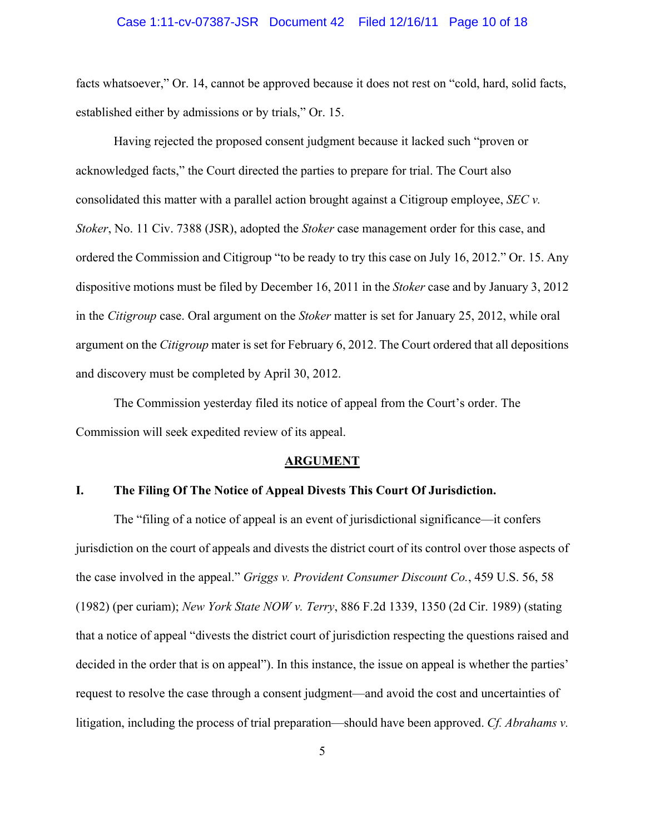#### Case 1:11-cv-07387-JSR Document 42 Filed 12/16/11 Page 10 of 18

facts whatsoever," Or. 14, cannot be approved because it does not rest on "cold, hard, solid facts, established either by admissions or by trials," Or. 15.

Having rejected the proposed consent judgment because it lacked such "proven or acknowledged facts," the Court directed the parties to prepare for trial. The Court also consolidated this matter with a parallel action brought against a Citigroup employee, *SEC v. Stoker*, No. 11 Civ. 7388 (JSR), adopted the *Stoker* case management order for this case, and ordered the Commission and Citigroup "to be ready to try this case on July 16, 2012." Or. 15. Any dispositive motions must be filed by December 16, 2011 in the *Stoker* case and by January 3, 2012 in the *Citigroup* case. Oral argument on the *Stoker* matter is set for January 25, 2012, while oral argument on the *Citigroup* mater is set for February 6, 2012. The Court ordered that all depositions and discovery must be completed by April 30, 2012.

The Commission yesterday filed its notice of appeal from the Court's order. The Commission will seek expedited review of its appeal.

#### **ARGUMENT**

# **I. The Filing Of The Notice of Appeal Divests This Court Of Jurisdiction.**

The "filing of a notice of appeal is an event of jurisdictional significance—it confers jurisdiction on the court of appeals and divests the district court of its control over those aspects of the case involved in the appeal." *Griggs v. Provident Consumer Discount Co.*, 459 U.S. 56, 58 (1982) (per curiam); *New York State NOW v. Terry*, 886 F.2d 1339, 1350 (2d Cir. 1989) (stating that a notice of appeal "divests the district court of jurisdiction respecting the questions raised and decided in the order that is on appeal"). In this instance, the issue on appeal is whether the parties' request to resolve the case through a consent judgment—and avoid the cost and uncertainties of litigation, including the process of trial preparation—should have been approved. *Cf. Abrahams v.*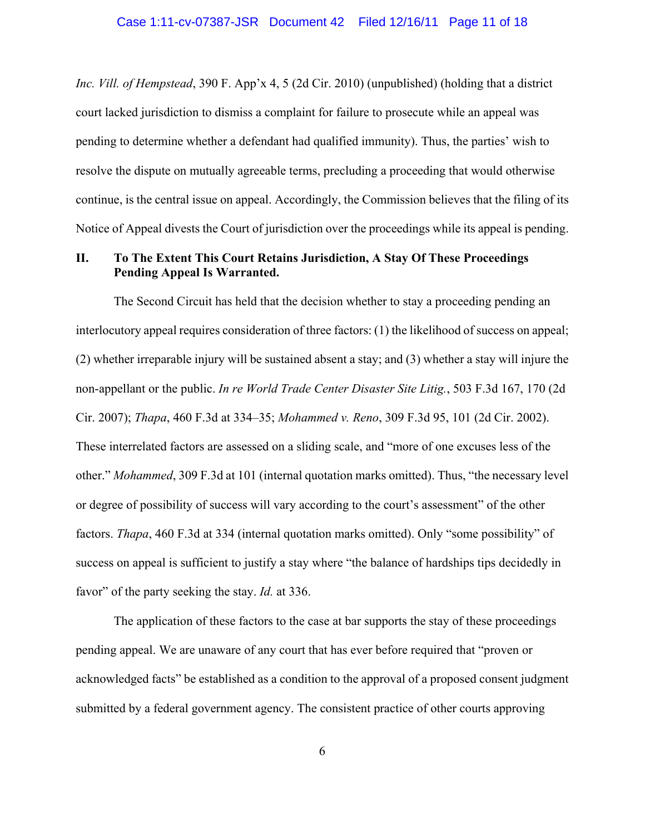*Inc. Vill. of Hempstead*, 390 F. App'x 4, 5 (2d Cir. 2010) (unpublished) (holding that a district court lacked jurisdiction to dismiss a complaint for failure to prosecute while an appeal was pending to determine whether a defendant had qualified immunity). Thus, the parties' wish to resolve the dispute on mutually agreeable terms, precluding a proceeding that would otherwise continue, is the central issue on appeal. Accordingly, the Commission believes that the filing of its Notice of Appeal divests the Court of jurisdiction over the proceedings while its appeal is pending.

# **II. To The Extent This Court Retains Jurisdiction, A Stay Of These Proceedings Pending Appeal Is Warranted.**

 The Second Circuit has held that the decision whether to stay a proceeding pending an interlocutory appeal requires consideration of three factors: (1) the likelihood of success on appeal; (2) whether irreparable injury will be sustained absent a stay; and (3) whether a stay will injure the non-appellant or the public. *In re World Trade Center Disaster Site Litig.*, 503 F.3d 167, 170 (2d Cir. 2007); *Thapa*, 460 F.3d at 334–35; *Mohammed v. Reno*, 309 F.3d 95, 101 (2d Cir. 2002). These interrelated factors are assessed on a sliding scale, and "more of one excuses less of the other." *Mohammed*, 309 F.3d at 101 (internal quotation marks omitted). Thus, "the necessary level or degree of possibility of success will vary according to the court's assessment" of the other factors. *Thapa*, 460 F.3d at 334 (internal quotation marks omitted). Only "some possibility" of success on appeal is sufficient to justify a stay where "the balance of hardships tips decidedly in favor" of the party seeking the stay. *Id.* at 336.

 The application of these factors to the case at bar supports the stay of these proceedings pending appeal. We are unaware of any court that has ever before required that "proven or acknowledged facts" be established as a condition to the approval of a proposed consent judgment submitted by a federal government agency. The consistent practice of other courts approving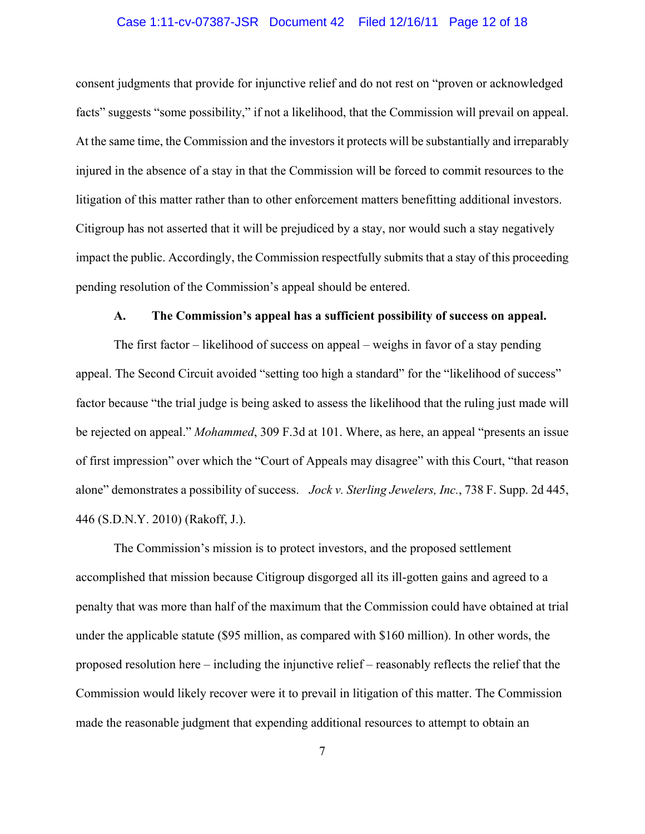## Case 1:11-cv-07387-JSR Document 42 Filed 12/16/11 Page 12 of 18

consent judgments that provide for injunctive relief and do not rest on "proven or acknowledged facts" suggests "some possibility," if not a likelihood, that the Commission will prevail on appeal. At the same time, the Commission and the investors it protects will be substantially and irreparably injured in the absence of a stay in that the Commission will be forced to commit resources to the litigation of this matter rather than to other enforcement matters benefitting additional investors. Citigroup has not asserted that it will be prejudiced by a stay, nor would such a stay negatively impact the public. Accordingly, the Commission respectfully submits that a stay of this proceeding pending resolution of the Commission's appeal should be entered.

## **A. The Commission's appeal has a sufficient possibility of success on appeal.**

The first factor – likelihood of success on appeal – weighs in favor of a stay pending appeal. The Second Circuit avoided "setting too high a standard" for the "likelihood of success" factor because "the trial judge is being asked to assess the likelihood that the ruling just made will be rejected on appeal." *Mohammed*, 309 F.3d at 101. Where, as here, an appeal "presents an issue of first impression" over which the "Court of Appeals may disagree" with this Court, "that reason alone" demonstrates a possibility of success. *Jock v. Sterling Jewelers, Inc.*, 738 F. Supp. 2d 445, 446 (S.D.N.Y. 2010) (Rakoff, J.).

The Commission's mission is to protect investors, and the proposed settlement accomplished that mission because Citigroup disgorged all its ill-gotten gains and agreed to a penalty that was more than half of the maximum that the Commission could have obtained at trial under the applicable statute (\$95 million, as compared with \$160 million). In other words, the proposed resolution here – including the injunctive relief – reasonably reflects the relief that the Commission would likely recover were it to prevail in litigation of this matter. The Commission made the reasonable judgment that expending additional resources to attempt to obtain an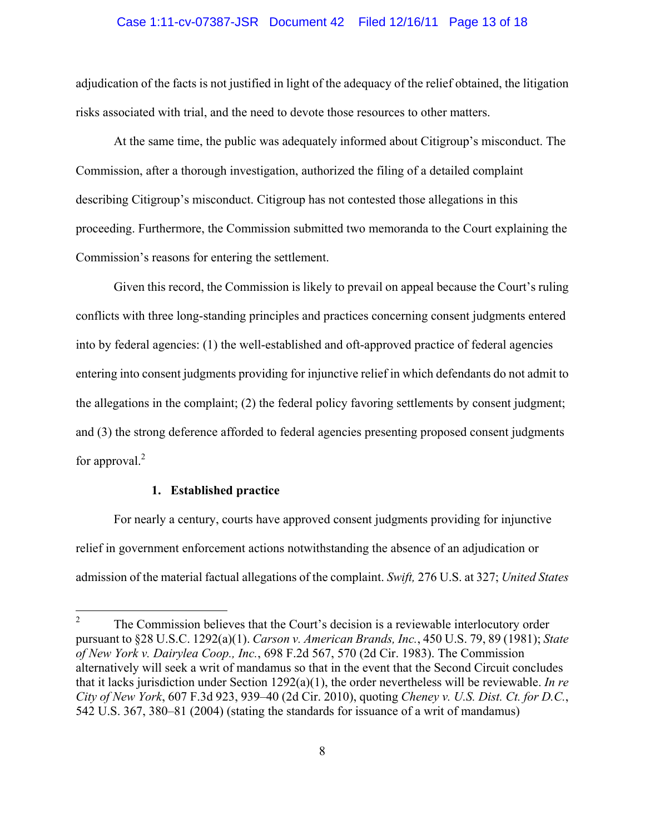## Case 1:11-cv-07387-JSR Document 42 Filed 12/16/11 Page 13 of 18

adjudication of the facts is not justified in light of the adequacy of the relief obtained, the litigation risks associated with trial, and the need to devote those resources to other matters.

At the same time, the public was adequately informed about Citigroup's misconduct. The Commission, after a thorough investigation, authorized the filing of a detailed complaint describing Citigroup's misconduct. Citigroup has not contested those allegations in this proceeding. Furthermore, the Commission submitted two memoranda to the Court explaining the Commission's reasons for entering the settlement.

Given this record, the Commission is likely to prevail on appeal because the Court's ruling conflicts with three long-standing principles and practices concerning consent judgments entered into by federal agencies: (1) the well-established and oft-approved practice of federal agencies entering into consent judgments providing for injunctive relief in which defendants do not admit to the allegations in the complaint; (2) the federal policy favoring settlements by consent judgment; and (3) the strong deference afforded to federal agencies presenting proposed consent judgments for approval. $^{2}$ 

# **1. Established practice**

 For nearly a century, courts have approved consent judgments providing for injunctive relief in government enforcement actions notwithstanding the absence of an adjudication or admission of the material factual allegations of the complaint. *Swift,* 276 U.S. at 327; *United States* 

 $\frac{1}{2}$  The Commission believes that the Court's decision is a reviewable interlocutory order pursuant to §28 U.S.C. 1292(a)(1). *Carson v. American Brands, Inc.*, 450 U.S. 79, 89 (1981); *State of New York v. Dairylea Coop., Inc.*, 698 F.2d 567, 570 (2d Cir. 1983). The Commission alternatively will seek a writ of mandamus so that in the event that the Second Circuit concludes that it lacks jurisdiction under Section 1292(a)(1), the order nevertheless will be reviewable. *In re City of New York*, 607 F.3d 923, 939–40 (2d Cir. 2010), quoting *Cheney v. U.S. Dist. Ct. for D.C.*, 542 U.S. 367, 380–81 (2004) (stating the standards for issuance of a writ of mandamus)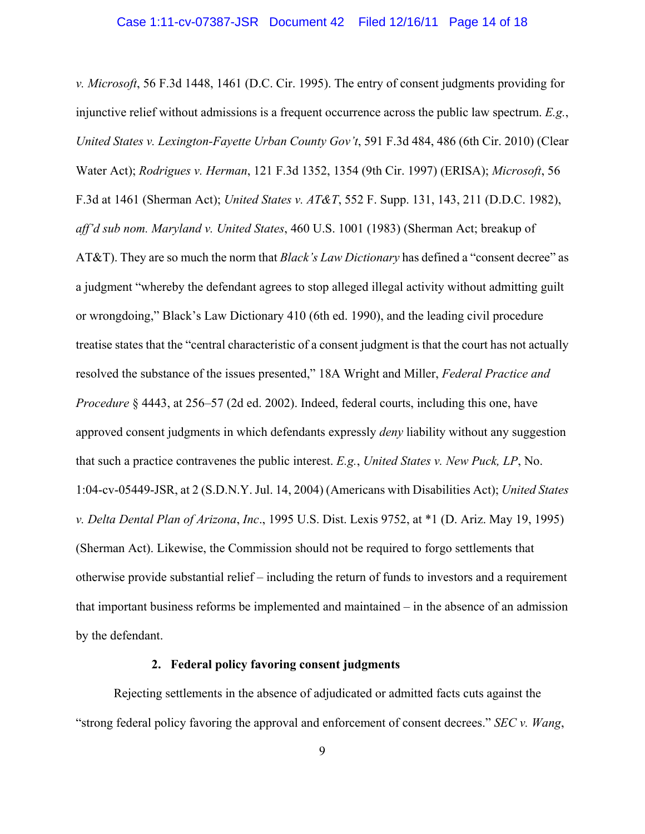*v. Microsoft*, 56 F.3d 1448, 1461 (D.C. Cir. 1995). The entry of consent judgments providing for injunctive relief without admissions is a frequent occurrence across the public law spectrum. *E.g.*, *United States v. Lexington-Fayette Urban County Gov't*, 591 F.3d 484, 486 (6th Cir. 2010) (Clear Water Act); *Rodrigues v. Herman*, 121 F.3d 1352, 1354 (9th Cir. 1997) (ERISA); *Microsoft*, 56 F.3d at 1461 (Sherman Act); *United States v. AT&T*, 552 F. Supp. 131, 143, 211 (D.D.C. 1982), *aff'd sub nom. Maryland v. United States*, 460 U.S. 1001 (1983) (Sherman Act; breakup of AT&T). They are so much the norm that *Black's Law Dictionary* has defined a "consent decree" as a judgment "whereby the defendant agrees to stop alleged illegal activity without admitting guilt or wrongdoing," Black's Law Dictionary 410 (6th ed. 1990), and the leading civil procedure treatise states that the "central characteristic of a consent judgment is that the court has not actually resolved the substance of the issues presented," 18A Wright and Miller, *Federal Practice and Procedure* § 4443, at 256–57 (2d ed. 2002). Indeed, federal courts, including this one, have approved consent judgments in which defendants expressly *deny* liability without any suggestion that such a practice contravenes the public interest. *E.g.*, *United States v. New Puck, LP*, No. 1:04-cv-05449-JSR, at 2 (S.D.N.Y. Jul. 14, 2004) (Americans with Disabilities Act); *United States v. Delta Dental Plan of Arizona*, *Inc*., 1995 U.S. Dist. Lexis 9752, at \*1 (D. Ariz. May 19, 1995) (Sherman Act). Likewise, the Commission should not be required to forgo settlements that otherwise provide substantial relief – including the return of funds to investors and a requirement that important business reforms be implemented and maintained – in the absence of an admission by the defendant.

# **2. Federal policy favoring consent judgments**

 Rejecting settlements in the absence of adjudicated or admitted facts cuts against the "strong federal policy favoring the approval and enforcement of consent decrees." *SEC v. Wang*,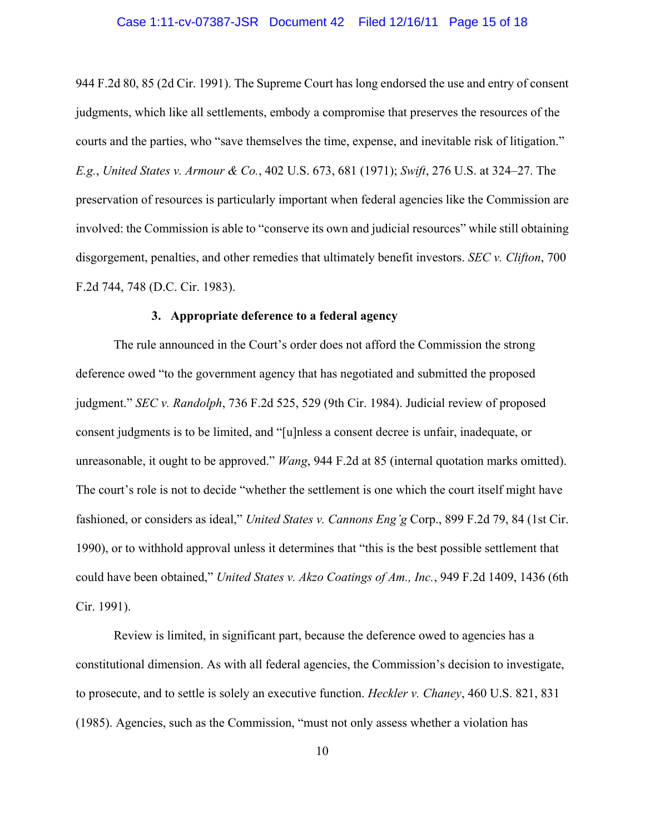## Case 1:11-cv-07387-JSR Document 42 Filed 12/16/11 Page 15 of 18

944 F.2d 80, 85 (2d Cir. 1991). The Supreme Court has long endorsed the use and entry of consent judgments, which like all settlements, embody a compromise that preserves the resources of the courts and the parties, who "save themselves the time, expense, and inevitable risk of litigation." *E.g.*, *United States v. Armour & Co.*, 402 U.S. 673, 681 (1971); *Swift*, 276 U.S. at 324–27. The preservation of resources is particularly important when federal agencies like the Commission are involved: the Commission is able to "conserve its own and judicial resources" while still obtaining disgorgement, penalties, and other remedies that ultimately benefit investors. *SEC v. Clifton*, 700 F.2d 744, 748 (D.C. Cir. 1983).

### **3. Appropriate deference to a federal agency**

The rule announced in the Court's order does not afford the Commission the strong deference owed "to the government agency that has negotiated and submitted the proposed judgment." *SEC v. Randolph*, 736 F.2d 525, 529 (9th Cir. 1984). Judicial review of proposed consent judgments is to be limited, and "[u]nless a consent decree is unfair, inadequate, or unreasonable, it ought to be approved." *Wang*, 944 F.2d at 85 (internal quotation marks omitted). The court's role is not to decide "whether the settlement is one which the court itself might have fashioned, or considers as ideal," *United States v. Cannons Eng'g* Corp., 899 F.2d 79, 84 (1st Cir. 1990), or to withhold approval unless it determines that "this is the best possible settlement that could have been obtained," *United States v. Akzo Coatings of Am., Inc.*, 949 F.2d 1409, 1436 (6th Cir. 1991).

Review is limited, in significant part, because the deference owed to agencies has a constitutional dimension. As with all federal agencies, the Commission's decision to investigate, to prosecute, and to settle is solely an executive function. *Heckler v. Chaney*, 460 U.S. 821, 831 (1985). Agencies, such as the Commission, "must not only assess whether a violation has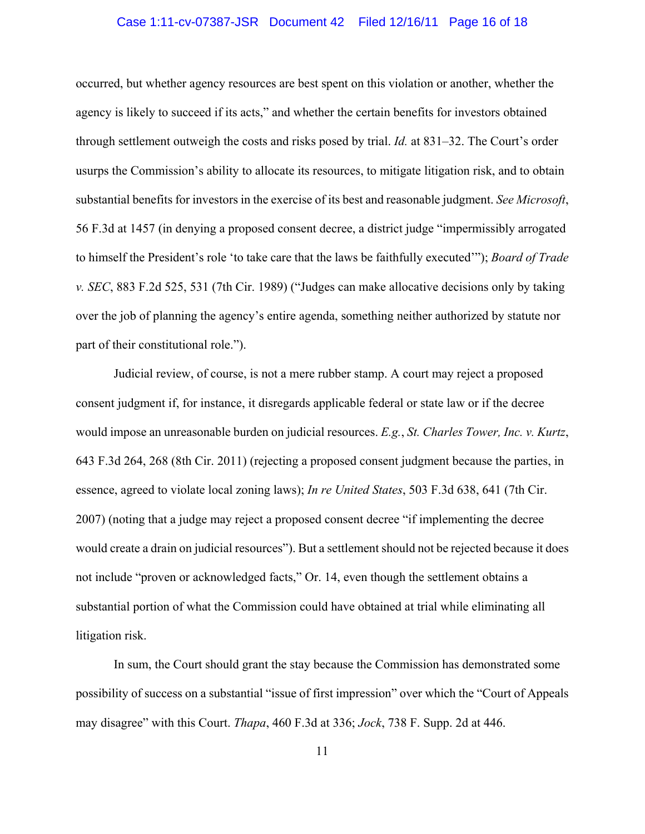# Case 1:11-cv-07387-JSR Document 42 Filed 12/16/11 Page 16 of 18

occurred, but whether agency resources are best spent on this violation or another, whether the agency is likely to succeed if its acts," and whether the certain benefits for investors obtained through settlement outweigh the costs and risks posed by trial. *Id.* at 831–32. The Court's order usurps the Commission's ability to allocate its resources, to mitigate litigation risk, and to obtain substantial benefits for investors in the exercise of its best and reasonable judgment. *See Microsoft*, 56 F.3d at 1457 (in denying a proposed consent decree, a district judge "impermissibly arrogated to himself the President's role 'to take care that the laws be faithfully executed'"); *Board of Trade v. SEC*, 883 F.2d 525, 531 (7th Cir. 1989) ("Judges can make allocative decisions only by taking over the job of planning the agency's entire agenda, something neither authorized by statute nor part of their constitutional role.").

Judicial review, of course, is not a mere rubber stamp. A court may reject a proposed consent judgment if, for instance, it disregards applicable federal or state law or if the decree would impose an unreasonable burden on judicial resources. *E.g.*, *St. Charles Tower, Inc. v. Kurtz*, 643 F.3d 264, 268 (8th Cir. 2011) (rejecting a proposed consent judgment because the parties, in essence, agreed to violate local zoning laws); *In re United States*, 503 F.3d 638, 641 (7th Cir. 2007) (noting that a judge may reject a proposed consent decree "if implementing the decree would create a drain on judicial resources"). But a settlement should not be rejected because it does not include "proven or acknowledged facts," Or. 14, even though the settlement obtains a substantial portion of what the Commission could have obtained at trial while eliminating all litigation risk.

In sum, the Court should grant the stay because the Commission has demonstrated some possibility of success on a substantial "issue of first impression" over which the "Court of Appeals may disagree" with this Court. *Thapa*, 460 F.3d at 336; *Jock*, 738 F. Supp. 2d at 446.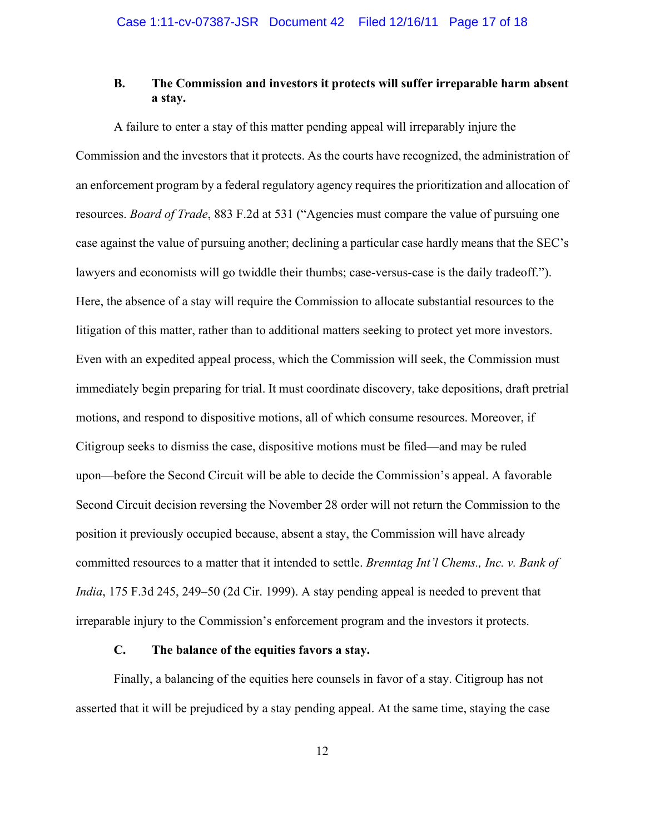# **B. The Commission and investors it protects will suffer irreparable harm absent a stay.**

A failure to enter a stay of this matter pending appeal will irreparably injure the Commission and the investors that it protects. As the courts have recognized, the administration of an enforcement program by a federal regulatory agency requires the prioritization and allocation of resources. *Board of Trade*, 883 F.2d at 531 ("Agencies must compare the value of pursuing one case against the value of pursuing another; declining a particular case hardly means that the SEC's lawyers and economists will go twiddle their thumbs; case-versus-case is the daily tradeoff."). Here, the absence of a stay will require the Commission to allocate substantial resources to the litigation of this matter, rather than to additional matters seeking to protect yet more investors. Even with an expedited appeal process, which the Commission will seek, the Commission must immediately begin preparing for trial. It must coordinate discovery, take depositions, draft pretrial motions, and respond to dispositive motions, all of which consume resources. Moreover, if Citigroup seeks to dismiss the case, dispositive motions must be filed—and may be ruled upon—before the Second Circuit will be able to decide the Commission's appeal. A favorable Second Circuit decision reversing the November 28 order will not return the Commission to the position it previously occupied because, absent a stay, the Commission will have already committed resources to a matter that it intended to settle. *Brenntag Int'l Chems., Inc. v. Bank of India*, 175 F.3d 245, 249–50 (2d Cir. 1999). A stay pending appeal is needed to prevent that irreparable injury to the Commission's enforcement program and the investors it protects.

# **C. The balance of the equities favors a stay.**

Finally, a balancing of the equities here counsels in favor of a stay. Citigroup has not asserted that it will be prejudiced by a stay pending appeal. At the same time, staying the case